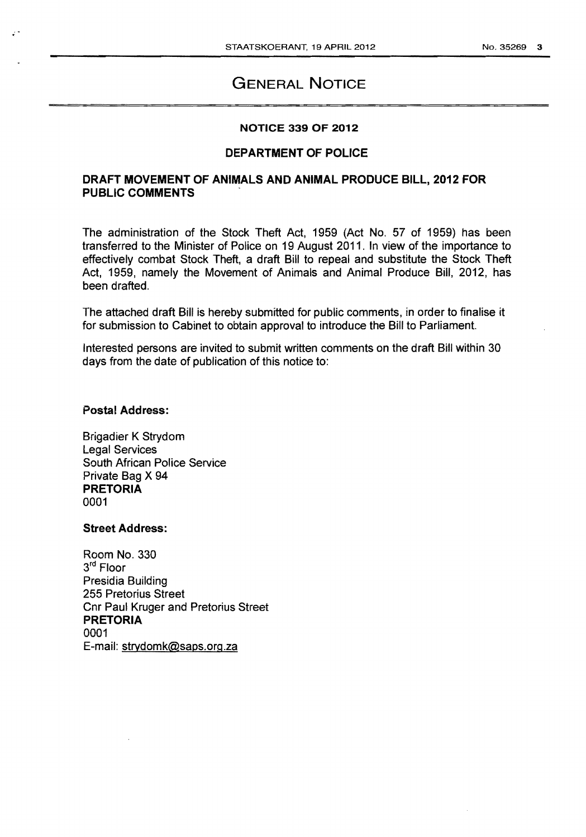# GENERAL NOTICE

### NOTICE 339 OF 2012

### DEPARTMENT OF POLICE

### DRAFT MOVEMENT OF ANIMALS AND ANIMAL PRODUCE BILL, 2012 FOR PUBLIC COMMENTS ,

The administration of the Stock Theft Act, 1959 (Act No. 57 of 1959) has been transferred to the Minister of Police on 19 August 2011. In view of the importance to effectively combat Stock Theft, a draft Bill to repeal and substitute the Stock Theft Act, 1959, namely the Movement of Animals and Animal Produce Bill, 2012, has been drafted.

The attached draft Bill is hereby submitted for public comments, in order to finalise it for submission to Cabinet to obtain approval to introduce the Bill to Parliament.

Interested persons are invited to submit written comments on the draft Bill within 30 days from the date of publication of this notice to:

### Postal Address:

Brigadier K Strydom Legal Services South African Police Service Private Bag X 94 PRETORIA 0001

### Street Address:

Room No. 330 3<sup>rd</sup> Floor Presidia Building 255 Pretorius Street Cnr Paul Kruger and Pretorius Street PRETORIA 0001 E-mail: strvdomk@saps.org.za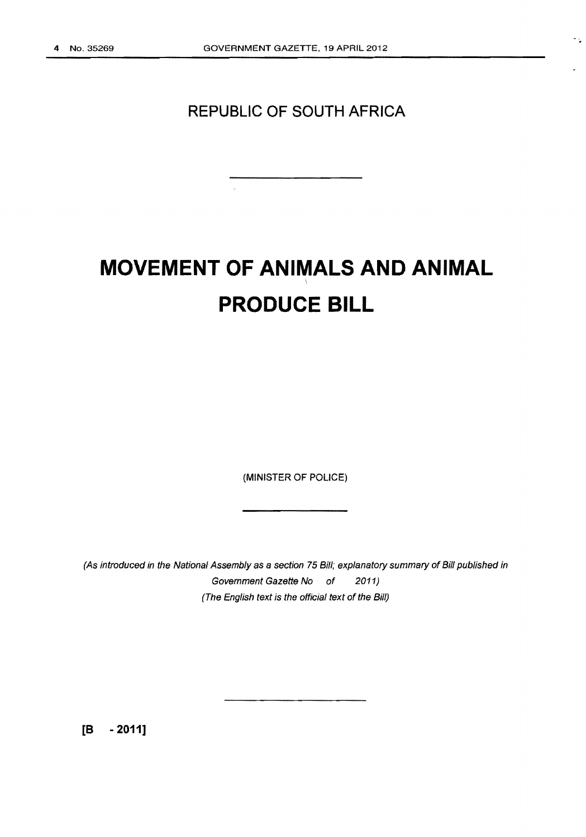412

# **REPUBLIC OF SOUTH AFRICA**

 $\mathbf{r}$ 

# **MOVEMENT OF ANIMALS AND ANIMAL PRODUCE BILL**

(MINISTER OF POLICE)

(As introduced in the National Assembly as a section 75 Bill; explanatory summary of Bill published in Government Gazette No of 2011) (The English text is the official text of the Bill)

**[8 - 2011]**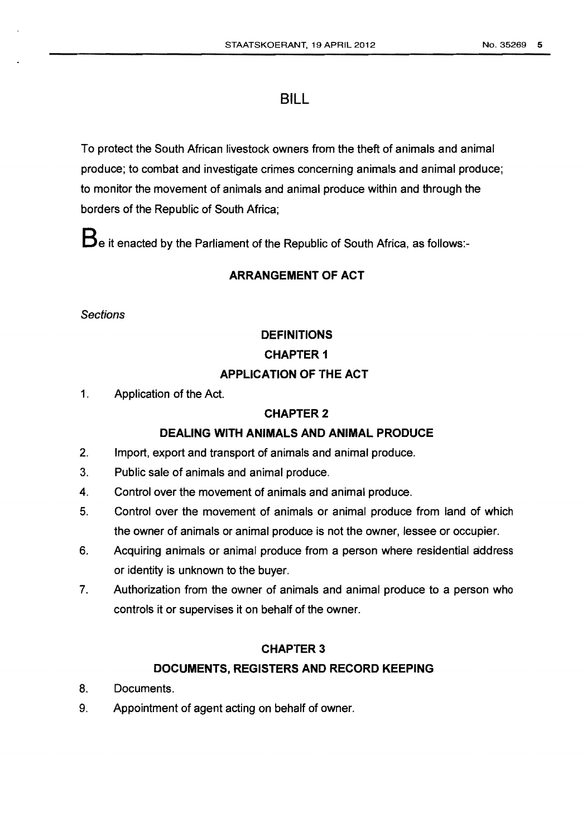# **BILL**

To protect the South African livestock owners from the theft of animals and animal produce; to combat and investigate crimes concerning animals and animal produce; to monitor the movement of animals and animal produce within and through the borders of the Republic of South Africa;

**Be** it enacted by the Parliament of the Republic of South Africa, as follows:-

# **ARRANGEMENT OF ACT**

**Sections** 

# **DEFINITIONS CHAPTER 1**

# **APPLICATION OF THE ACT**

1. Application of the Act.

## **CHAPTER2**

## **DEALING WITH ANIMALS AND ANIMAL PRODUCE**

- 2. Import, export and transport of animals and animal produce.
- 3. Public sale of animals and animal produce.
- 4. Control over the movement of animals and animal produce.
- 5. Control over the movement of animals or animal produce from land of which the owner of animals or animal produce is not the owner, lessee or occupier.
- 6. Acquiring animals or animal produce from a person where residential address or identity is unknown to the buyer.
- 7. Authorization from the owner of animals and animal produce to a person who controls it or supervises it on behalf of the owner.

## **CHAPTER3**

## **DOCUMENTS, REGISTERS AND RECORD KEEPING**

- 8. Documents.
- 9. Appointment of agent acting on behalf of owner.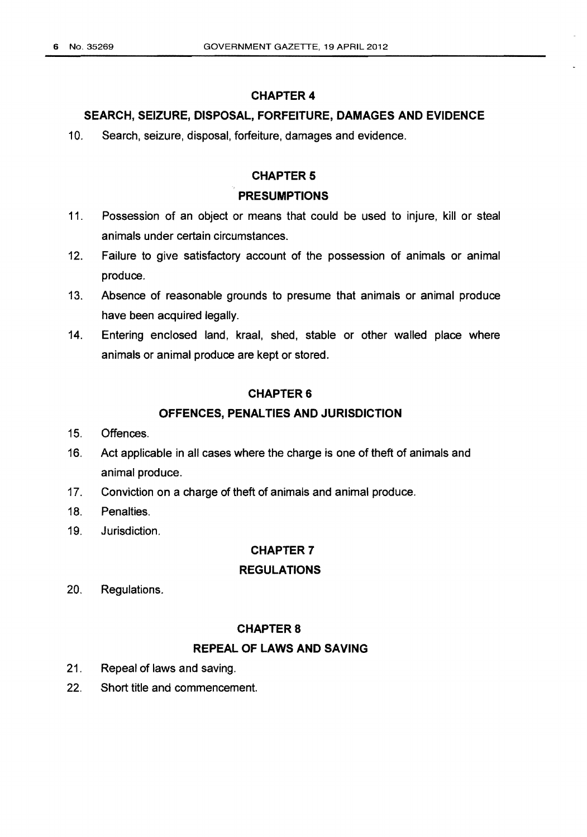### SEARCH, SEIZURE, DISPOSAL, FORFEITURE, DAMAGES AND EVIDENCE

10. Search, seizure, disposal, forfeiture, damages and evidence.

#### **CHAPTER 5**

### PRESUMPTIONS

- 11. Possession of an object or means that could be used to injure, kill or steal animals under certain circumstances.
- 12. Failure to give satisfactory account of the possession of animals or animal produce.
- 13. Absence of reasonable grounds to presume that animals or animal produce have been acquired legally.
- 14. Entering enclosed land, kraal, shed, stable or other walled place where animals or animal produce are kept or stored.

#### CHAPTER&

### OFFENCES, PENAL TIES AND JURISDICTION

- 15. Offences.
- 16. Act applicable in all cases where the charge is one of theft of animals and animal produce.
- 17. Conviction on a charge of theft of animals and animal produce.
- 18. Penalties.
- 19. Jurisdiction.

### CHAPTER 7

### REGULATIONS

20. Regulations.

#### **CHAPTER 8**

### REPEAL OF LAWS AND SAVING

- 21. Repeal of laws and saving.
- 22. Short title and commencement.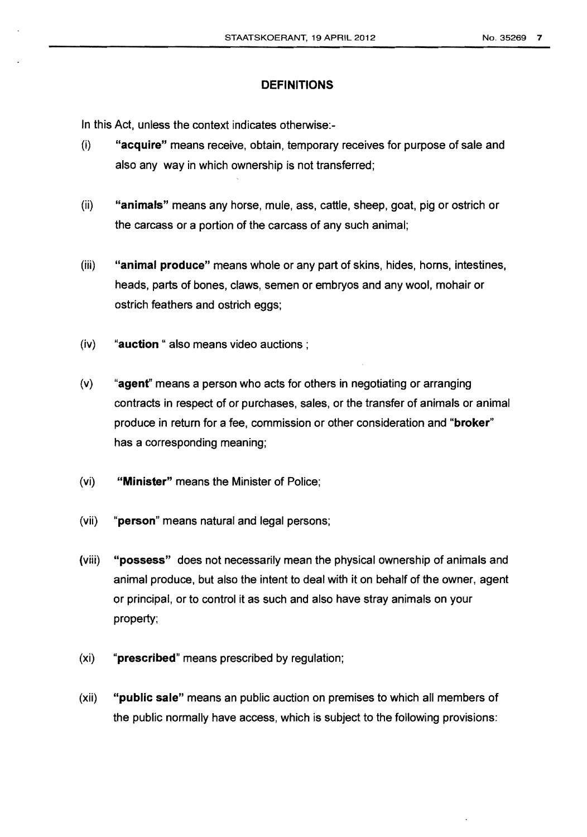### **DEFINITIONS**

In this Act, unless the context indicates otherwise:-

- (i) **"acquire"** means receive, obtain, temporary receives for purpose of sale and also any way in which ownership is not transferred;
- (ii) **"animals"** means any horse, mule, ass, cattle, sheep, goat, pig or ostrich or the carcass or a portion of the carcass of any such animal;
- (iii) **"animal produce"** means whole or any part of skins, hides, horns, intestines, heads, parts of bones, claws, semen or embryos and any wool, mohair or ostrich feathers and ostrich eggs;
- (iv) **"auction** " also means video auctions ;
- (v) **"agenf'** means a person who acts for others in negotiating or arranging contracts in respect of or purchases, sales, or the transfer of animals or animal produce in return for a fee, commission or other consideration and **"broker"**  has a corresponding meaning;
- (vi) **"Minister"** means the Minister of Police;
- (vii) **"person"** means natural and legal persons;
- (viii) **"possess"** does not necessarily mean the physical ownership of animals and animal produce, but also the intent to deal with it on behalf of the owner, agent or principal, or to control it as such and also have stray animals on your property;
- (xi) **"prescribed"** means prescribed by regulation;
- (xii) **"public sale"** means an public auction on premises to which all members of the public normally have access, which is subject to the following provisions: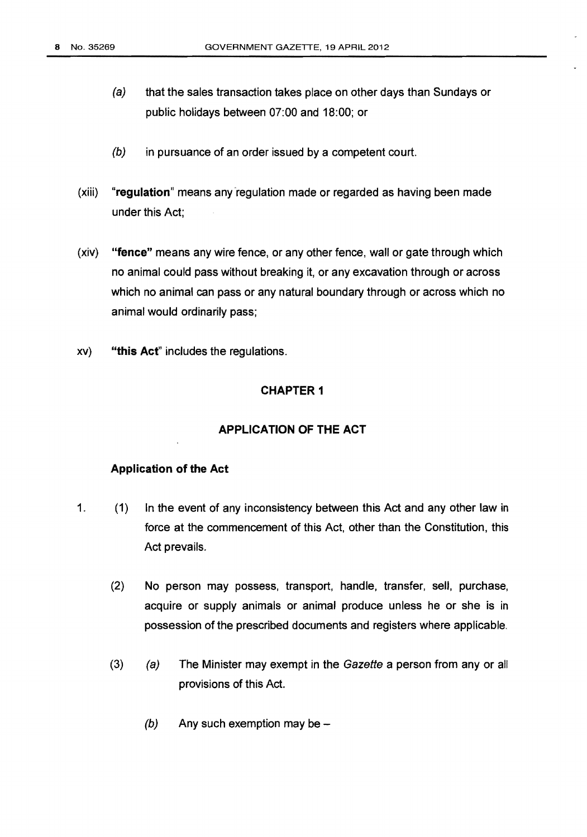- (a) that the sales transaction takes place on other days than Sundays or public holidays between 07:00 and 18:00; or
- (b) in pursuance of an order issued by a competent court.
- (xiii) **"regulation"** means any ·regulation made or regarded as having been made under this Act;
- (xiv) **"fence"** means any wire fence, or any other fence, wall or gate through which no animal could pass without breaking it, or any excavation through or across which no animal can pass or any natural boundary through or across which no animal would ordinarily pass;
- xv) **"this Act"** includes the regulations.

### **APPLICATION OF THE ACT**

#### **Application of the Act**

- 1. (1) In the event of any inconsistency between this Act and any other law in force at the commencement of this Act, other than the Constitution, this Act prevails.
	- (2) No person may possess, transport, handle, transfer, sell, purchase, acquire or supply animals or animal produce unless he or she is in possession of the prescribed documents and registers where applicable.
	- (3) (a) The Minister may exempt in the Gazette a person from any or all provisions of this Act.
		- $(b)$  Any such exemption may be -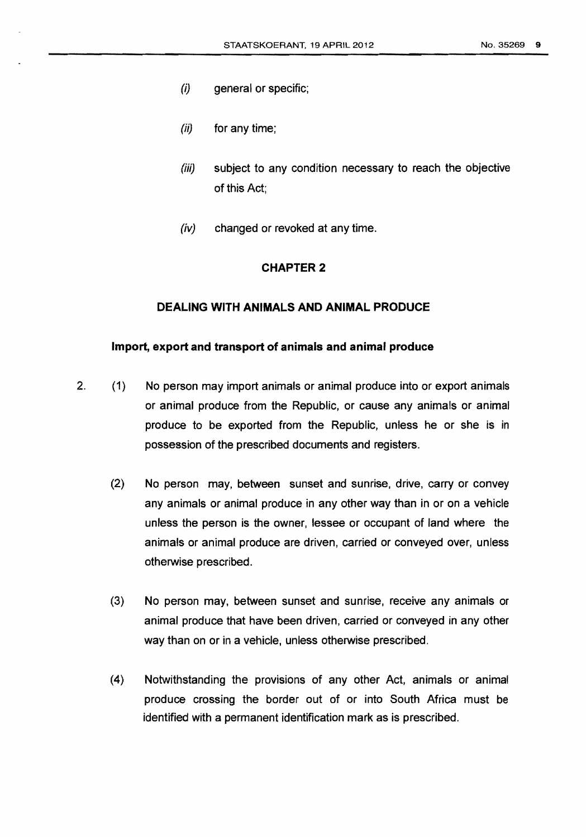- (i) general or specific;
- (ii) for any time;
- (iii) subject to any condition necessary to reach the objective of this Act;
- (iv) changed or revoked at any time.

### **DEALING WITH ANIMALS AND ANIMAL PRODUCE**

#### **Import, export and transport of animals and animal produce**

- 2. (1) No person may import animals or animal produce into or export animals or animal produce from the Republic, or cause any animals or animal produce to be exported from the Republic, unless he or she is in possession of the prescribed documents and registers.
	- (2) No person may, between sunset and sunrise, drive, carry or convey any animals or animal produce in any other way than in or on a vehicle unless the person is the owner, lessee or occupant of land where the animals or animal produce are driven, carried or conveyed over, unless otherwise prescribed.
	- (3) No person may, between sunset and sunrise, receive any animals or animal produce that have been driven, carried or conveyed in any other way than on or in a vehicle, unless otherwise prescribed.
	- (4) Notwithstanding the provisions of any other Act, animals or animal produce crossing the border out of or into South Africa must be identified with a permanent identification mark as is prescribed.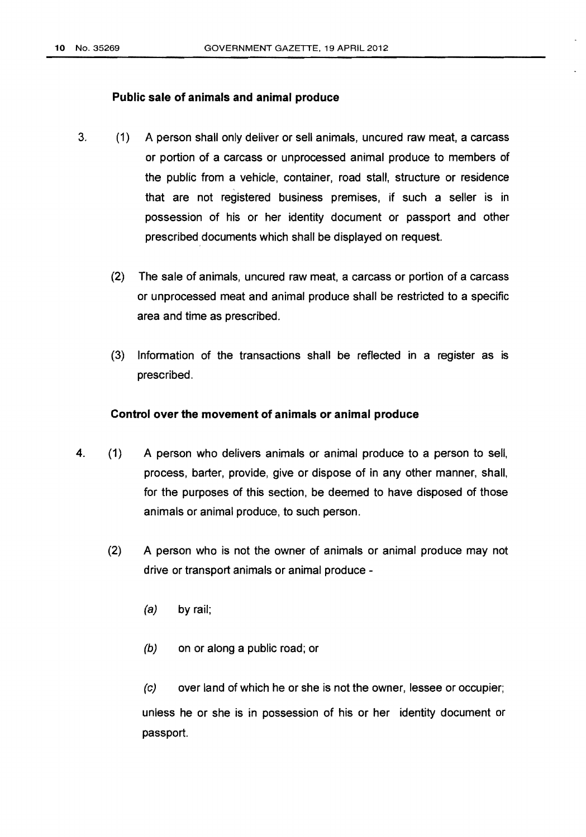### **Public sale of animals and animal produce**

- 3. (1) A person shall only deliver or sell animals, uncured raw meat, a carcass or portion of a carcass or unprocessed animal produce to members of the public from a vehicle, container, road stall, structure or residence that are not registered business premises, if such a seller is in possession of his or her identity document or passport and other prescribed documents which shall be displayed on request
	- (2) The sale of animals, uncured raw meat, a carcass or portion of a carcass or unprocessed meat and animal produce shall be restricted to a specific area and time as prescribed.
	- (3) Information of the transactions shall be reflected in a register as is prescribed.

### **Control over the movement of animals or animal produce**

- 4. (1) A person who delivers animals or animal produce to a person to sell, process, barter, provide, give or dispose of in any other manner, shall, for the purposes of this section, be deemed to have disposed of those animals or animal produce, to such person.
	- (2) A person who is not the owner of animals or animal produce may not drive or transport animals or animal produce -
		- (a) by rail;
		- (b) on or along a public road; or

(c) over land of which he or she is not the owner, lessee or occupier; unless he or she is in possession of his or her identity document or passport.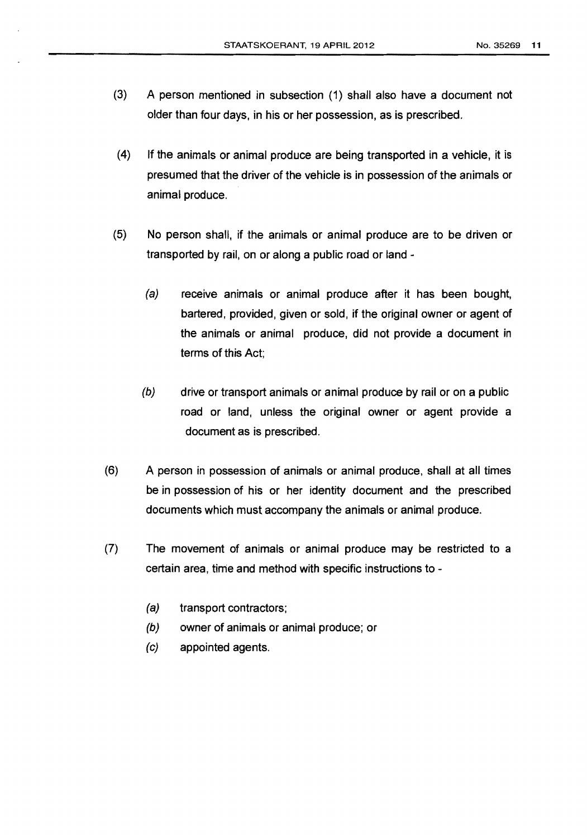- (3) A person mentioned in subsection (1) shall also have a document not older than four days, in his or her possession, as is prescribed.
- (4) If the animals or animal produce are being transported in a vehicle, it is presumed that the driver of the vehicle is in possession of the animals or animal produce.
- (5) No person shall, if the animals or animal produce are to be driven or transported by rail, on or along a public road or land -
	- (a) receive animals or animal produce after it has been bought, bartered, provided, given or sold, if the original owner or agent of the animals or animal produce, did not provide a document in terms of this Act;
	- (b) drive or transport animals or animal produce by rail or on a public road or land, unless the original owner or agent provide a document as is prescribed.
- (6) A person in possession of animals or animal produce, shall at all times be in possession of his or her identity document and the prescribed documents which must accompany the animals or animal produce.
- (7) The movement of animals or animal produce may be restricted to a certain area, time and method with specific instructions to-
	- (a) transport contractors;
	- (b) owner of animals or animal produce; or
	- (c) appointed agents.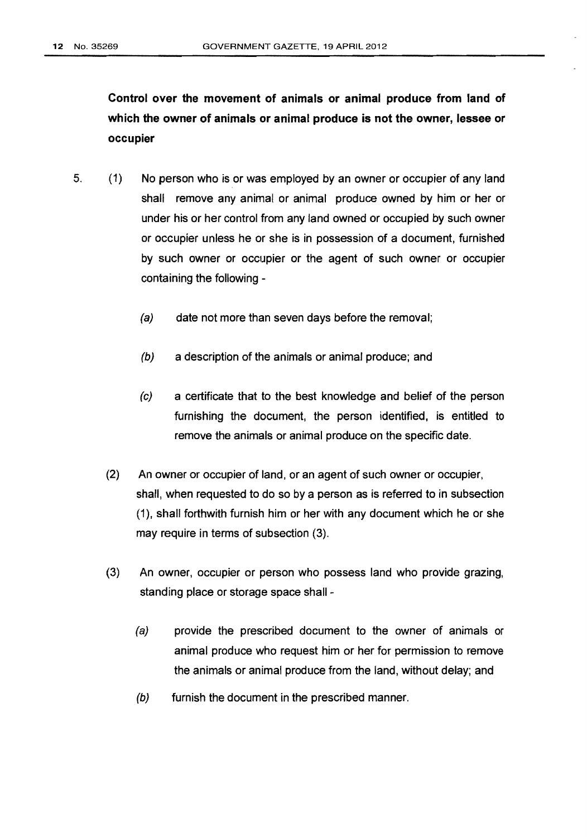**Control over the movement of animals or animal produce from land of which the owner of animals or animal produce is not the owner, lessee or occupier** 

- 5. (1) No person who is or was employed by an owner or occupier of any land shall remove any animal or animal produce owned by him or her or under his or her control from any land owned or occupied by such owner or occupier unless he or she is in possession of a document, furnished by such owner or occupier or the agent of such owner or occupier containing the following-
	- (a) date not more than seven days before the removal;
	- *(b)* a description of the animals or animal produce; and
	- (c) a certificate that to the best knowledge and belief of the person furnishing the document, the person identified, is entitled to remove the animals or animal produce on the specific date.
	- (2) An owner or occupier of land, or an agent of such owner or occupier, shall, when requested to do so by a person as is referred to in subsection (1), shall forthwith furnish him or her with any document which he or she may require in terms of subsection (3).
	- (3) An owner, occupier or person who possess land who provide grazing, standing place or storage space shall-
		- (a) provide the prescribed document to the owner of animals or animal produce who request him or her for permission to remove the animals or animal produce from the land, without delay; and
		- (b) furnish the document in the prescribed manner.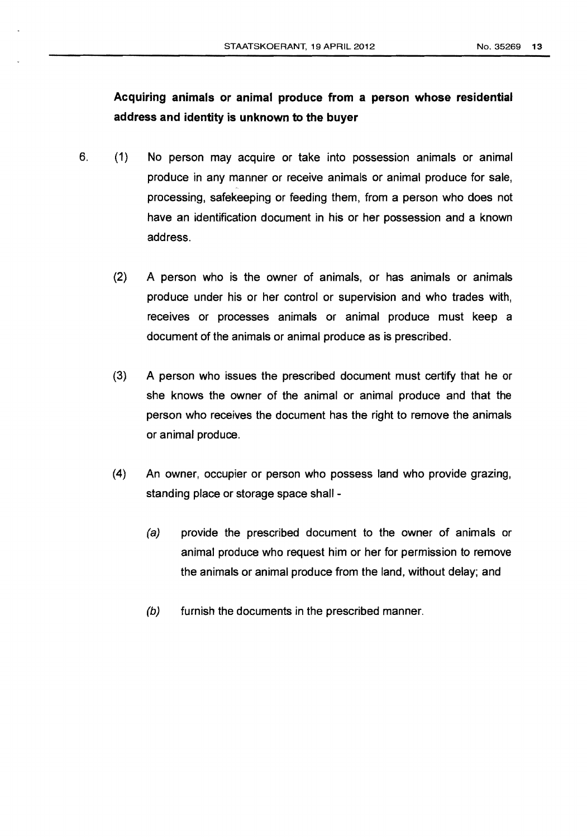# **Acquiring animals or animal produce from a person whose residential address and identity is unknown to the buyer**

- 6. (1) No person may acquire or take into possession animals or animal produce in any manner or receive animals or animal produce for sale, processing, safekeeping or feeding them, from a person who does not have an identification document in his or her possession and a known address.
	- (2) A person who is the owner of animals, or has animals or animals produce under his or her control or supervision and who trades with, receives or processes animals or animal produce must keep a document of the animals or animal produce as is prescribed.
	- (3) A person who issues the prescribed document must certify that he or she knows the owner of the animal or animal produce and that the person who receives the document has the right to remove the animals or animal produce.
	- (4) An owner, occupier or person who possess land who provide grazing, standing place or storage space shall -
		- (a) provide the prescribed document to the owner of animals or animal produce who request him or her for permission to remove the animals or animal produce from the land, without delay; and
		- (b) furnish the documents in the prescribed manner.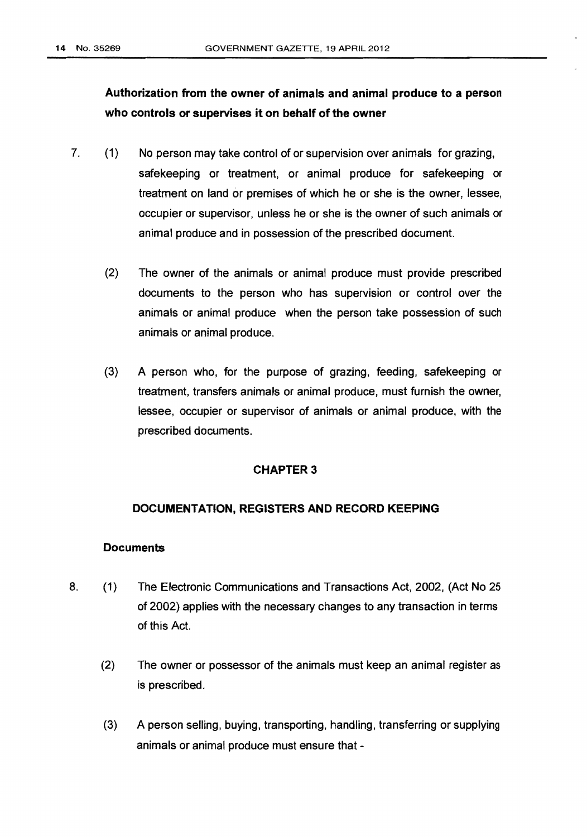# **Authorization from the owner of animals and animal produce to a person who controls or supervises it on behalf of the owner**

- 7. (1) No person may take control of or supervision over animals for grazing, safekeeping or treatment, or animal produce for safekeeping or treatment on land or premises of which he or she is the owner, lessee, occupier or supervisor, unless he or she is the owner of such animals or animal produce and in possession of the prescribed document
	- (2) The owner of the animals or animal produce must provide prescribed documents to the person who has supervision or control over the animals or animal produce when the person take possession of such animals or animal produce.
	- (3) A person who, for the purpose of grazing, feeding, safekeeping or treatment, transfers animals or animal produce, must furnish the owner, lessee, occupier or supervisor of animals or animal produce, with the prescribed documents.

### **CHAPTER3**

### **DOCUMENTATION, REGISTERS AND RECORD KEEPING**

### **Documents**

- 8. (1) The Electronic Communications and Transactions Act, 2002, (Act No 25 of 2002) applies with the necessary changes to any transaction in terms of this Act
	- (2) The owner or possessor of the animals must keep an animal register as is prescribed.
	- (3) A person selling, buying, transporting, handling, transferring or supplying animals or animal produce must ensure that-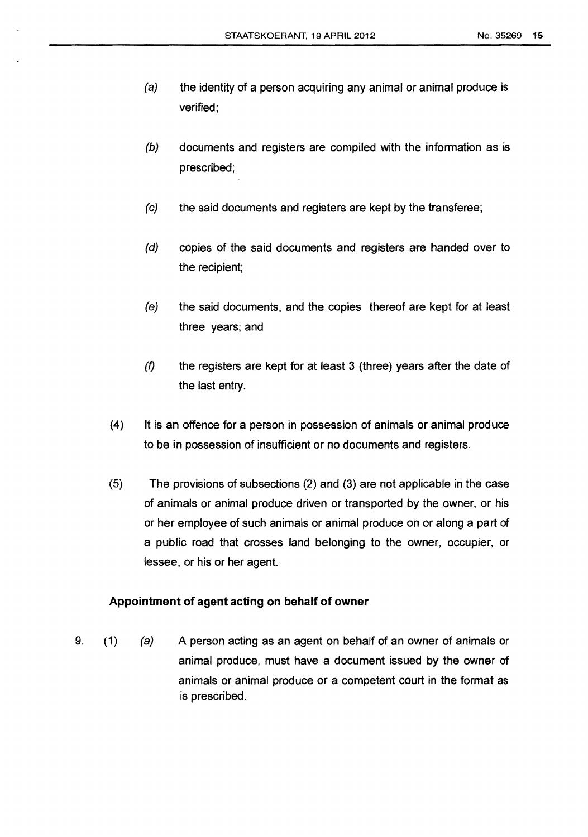- (a) the identity of a person acquiring any animal or animal produce is verified;
- (b) documents and registers are compiled with the information as is prescribed;
- (c) the said documents and registers are kept by the transferee;
- (d) copies of the said documents and registers are handed over to the recipient;
- (e) the said documents, and the copies thereof are kept for at least three years; and
- $(f)$  the registers are kept for at least 3 (three) years after the date of the last entry.
- (4) It is an offence for a person in possession of animals or animal produce to be in possession of insufficient or no documents and registers.
- (5) The provisions of subsections (2) and (3) are not applicable in the case of animals or animal produce driven or transported by the owner, or his or her employee of such animals or animal produce on or along a part of a public road that crosses land belonging to the owner, occupier, or lessee, or his or her agent.

### **Appointment of agent acting on behalf of owner**

9. (1) (a) A person acting as an agent on behalf of an owner of animals or animal produce, must have a document issued by the owner of animals or animal produce or a competent court in the format as is prescribed.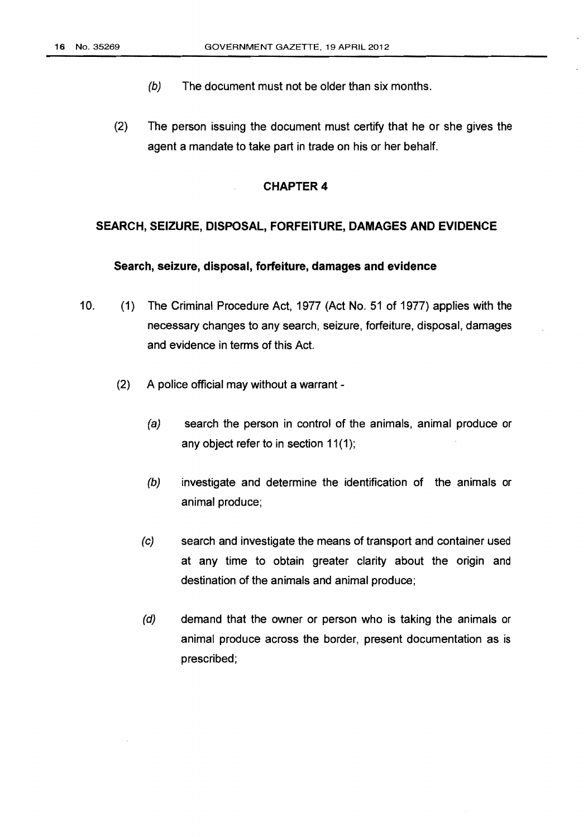- (b) The document must not be older than six months.
- (2) The person issuing the document must certify that he or she gives the agent a mandate to take part in trade on his or her behalf.

### **SEARCH, SEIZURE, DISPOSAL, FORFEITURE, DAMAGES AND EVIDENCE**

### **Search, seizure, disposal, forfeiture, damages and evidence**

- 10. (1) The Criminal Procedure Act, 1977 (Act No. 51 of 1977) applies with the necessary changes to any search, seizure, forfeiture, disposal, damages and evidence in terms of this Act.
	- (2) A police official may without a warrant
		- (a) search the person in control of the animals, animal produce or any object refer to in section  $11(1)$ ;
		- (b) investigate and determine the identification of the animals or animal produce;
		- (c) search and investigate the means of transport and container used at any time to obtain greater clarity about the origin and destination of the animals and animal produce;
		- (d) demand that the owner or person who is taking the animals or animal produce across the border, present documentation as is prescribed;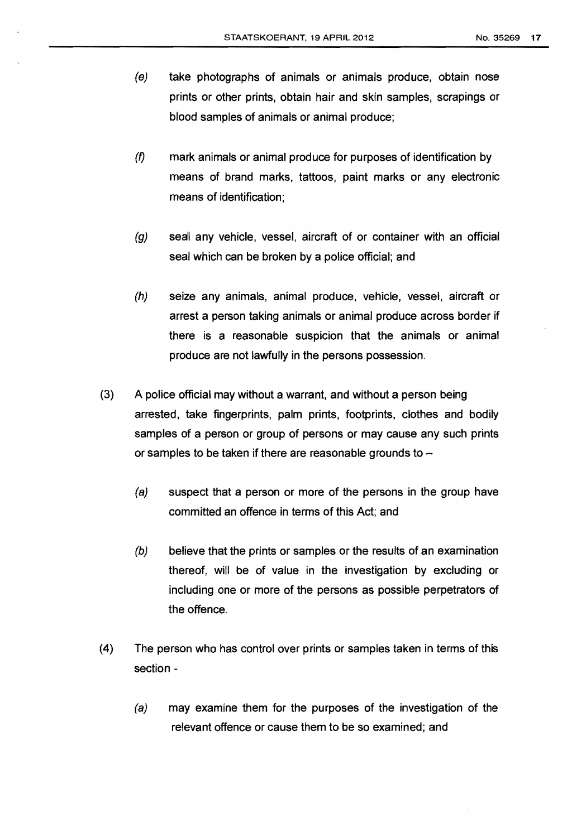- (e) take photographs of animals or animals produce, obtain nose prints or other prints, obtain hair and skin samples, scrapings or blood samples of animals or animal produce;
- (f) mark animals or animal produce for purposes of identification by means of brand marks, tattoos, paint marks or any electronic means of identification;
- (g) seal any vehicle, vessel, aircraft of or container with an official seal which can be broken by a police official; and
- (h) seize any animals, animal produce, vehicle, vessel, aircraft or arrest a person taking animals or animal produce across border if there is a reasonable suspicion that the animals or animal produce are not lawfully in the persons possession.
- (3) A police official may without a warrant, and without a person being arrested, take fingerprints, palm prints, footprints, clothes and bodily samples of a person or group of persons or may cause any such prints or samples to be taken if there are reasonable grounds to  $-$ 
	- (a) suspect that a person or more of the persons in the group have committed an offence in terms of this Act; and
	- (b) believe that the prints or samples or the results of an examination thereof, will be of value in the investigation by excluding or including one or more of the persons as possible perpetrators of the offence.
- (4) The person who has control over prints or samples taken in terms of this section-
	- (a) may examine them for the purposes of the investigation of the relevant offence or cause them to be so examined; and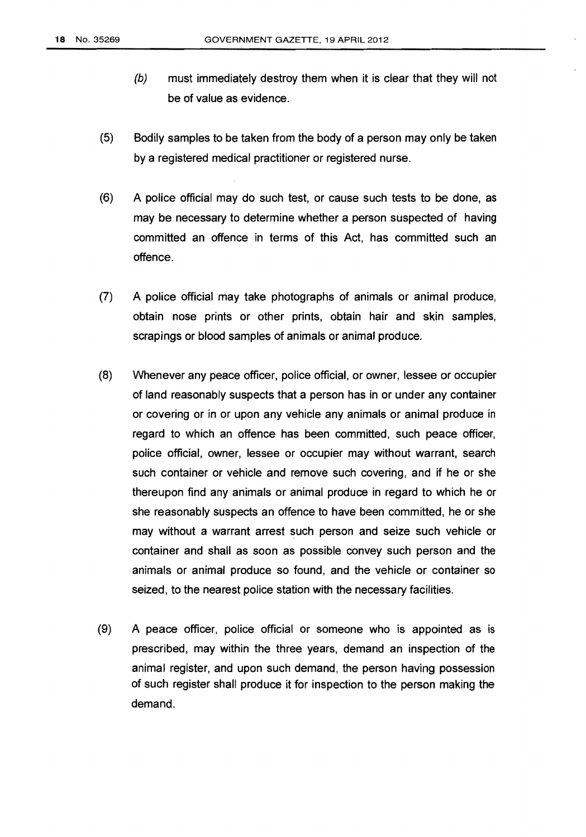- (b) must immediately destroy them when it is clear that they will not be of value as evidence.
- (5) Bodily samples to be taken from the body of a person may only be taken by a registered medical practitioner or registered nurse.
- (6) A police official may do such test, or cause such tests to be done, as may be necessary to determine whether a person suspected of having committed an offence in terms of this Act, has committed such an offence.
- (7) A police official may take photographs of animals or animal produce, obtain nose prints or other prints, obtain hair and skin samples, scrapings or blood samples of animals or animal produce.
- (8) Whenever any peace officer, police official, or owner, lessee or occupier of land reasonably suspects that a person has in or under any container or covering or in or upon any vehicle any animals or animal produce in regard to which an offence has been committed, such peace officer, police official, owner, lessee or occupier may without warrant, search such container or vehicle and remove such covering, and if he or she thereupon find any animals or animal produce in regard to which he or she reasonably suspects an offence to have been committed, he or she may without a warrant arrest such person and seize such vehicle or container and shall as soon as possible convey such person and the animals or animal produce so found, and the vehicle or container so seized, to the nearest police station with the necessary facilities.
- (9) A peace officer, police official or someone who is appointed as is prescribed, may within the three years, demand an inspection of the animal register, and upon such demand, the person having possession of such register shall produce it for inspection to the person making the demand.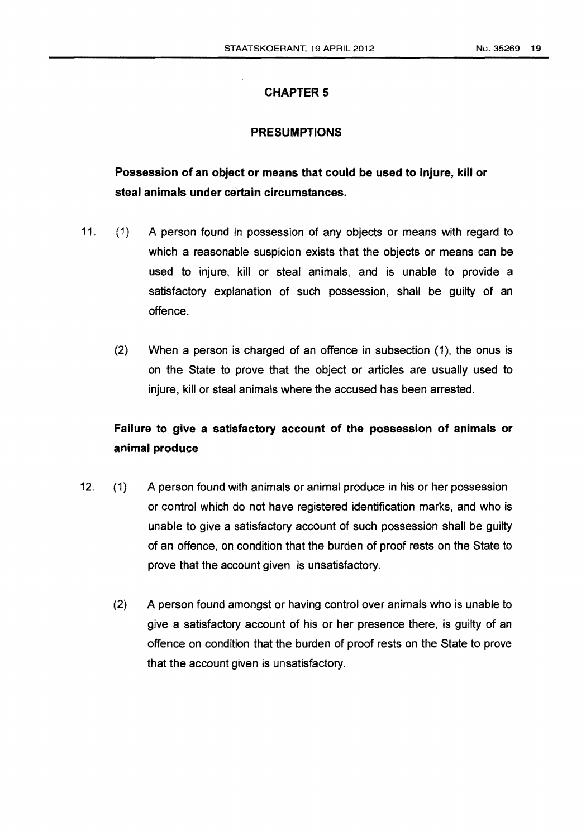### PRESUMPTIONS

# Possession of an object or means that could be used to injure, kill or steal animals under certain circumstances.

- 11. (1) A person found in possession of any objects or means with regard to which a reasonable suspicion exists that the objects or means can be used to injure, kill or steal animals, and is unable to provide a satisfactory explanation of such possession, shall be guilty of an offence.
	- (2) When a person is charged of an offence in subsection (1), the onus is on the State to prove that the object or articles are usually used to injure, kill or steal animals where the accused has been arrested.

# Failure to give a satisfactory account of the possession of animals or animal produce

- 12. (1) A person found with animals or animal produce in his or her possession or control which do not have registered identification marks, and who is unable to give a satisfactory account of such possession shall be guilty of an offence, on condition that the burden of proof rests on the State to prove that the account given is unsatisfactory.
	- (2) A person found amongst or having control over animals who is unable to give a satisfactory account of his or her presence there, is guilty of an offence on condition that the burden of proof rests on the State to prove that the account given is unsatisfactory.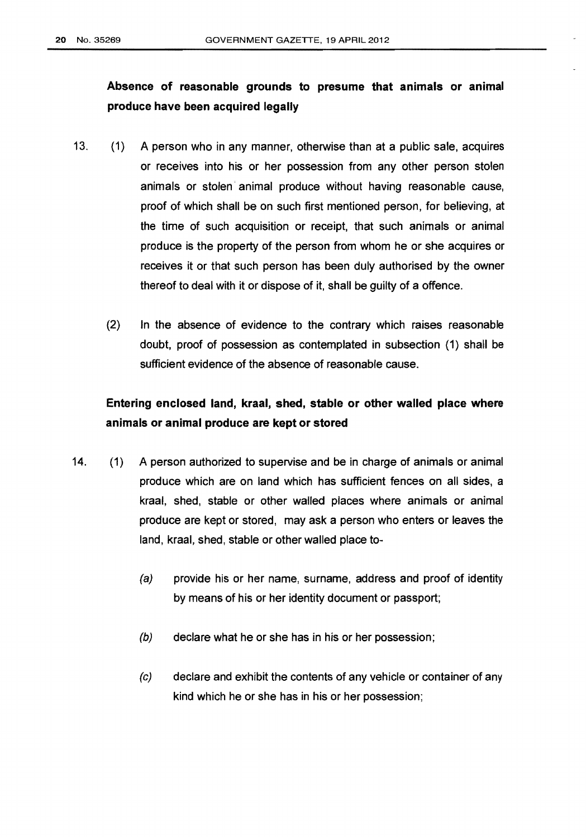# Absence of reasonable grounds to presume that animals or animal produce have been acquired legally

- 13. (1) A person who in any manner, otherwise than at a public sale, acquires or receives into his or her possession from any other person stolen animals or stolen animal produce without having reasonable cause, proof of which shall be on such first mentioned person, for believing, at the time of such acquisition or receipt, that such animals or animal produce is the property of the person from whom he or she acquires or receives it or that such person has been duly authorised by the owner thereof to deal with it or dispose of it, shall be guilty of a offence.
	- {2) In the absence of evidence to the contrary which raises reasonable doubt, proof of possession as contemplated in subsection {1) shall be sufficient evidence of the absence of reasonable cause.

# Entering enclosed land, kraal, shed, stable or other walled place where animals or animal produce are kept or stored

- 14. (1) A person authorized to supervise and be in charge of animals or animal produce which are on land which has sufficient fences on all sides, a kraal, shed, stable or other walled places where animals or animal produce are kept or stored, may ask a person who enters or leaves the land, kraal, shed, stable or other walled place to-
	- (a) provide his or her name, surname, address and proof of identity by means of his or her identity document or passport;
	- (b) declare what he or she has in his or her possession;
	- (c) declare and exhibit the contents of any vehicle or container of any kind which he or she has in his or her possession;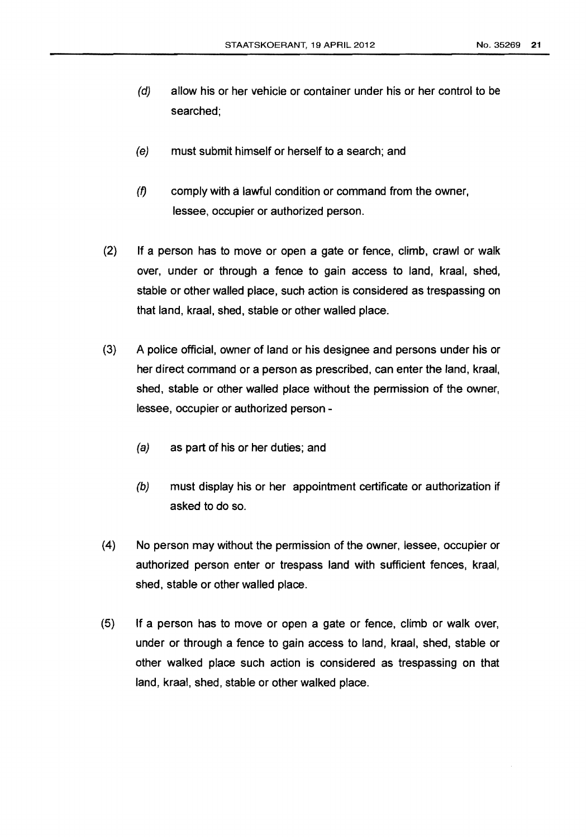- (d) allow his or her vehicle or container under his or her control to be searched;
- (e) must submit himself or herself to a search; and
- $(f)$  comply with a lawful condition or command from the owner, lessee, occupier or authorized person.
- (2) If a person has to move or open a gate or fence, climb, crawl or walk over, under or through a fence to gain access to land, kraal, shed, stable or other walled place, such action is considered as trespassing on that land, kraal, shed, stable or other walled place.
- {3} A police official, owner of land or his designee and persons under his or her direct command or a person as prescribed, can enter the land, kraal, shed, stable or other walled place without the permission of the owner, lessee, occupier or authorized person-
	- (a) as part of his or her duties; and
	- (b) must display his or her appointment certificate or authorization if asked to do so.
- (4) No person may without the permission of the owner, lessee, occupier or authorized person enter or trespass land with sufficient fences, kraal, shed, stable or other walled place.
- (5) If a person has to move or open a gate or fence, climb or walk over, under or through a fence to gain access to land, kraal, shed, stable or other walked place such action is considered as trespassing on that land, kraal, shed, stable or other walked place.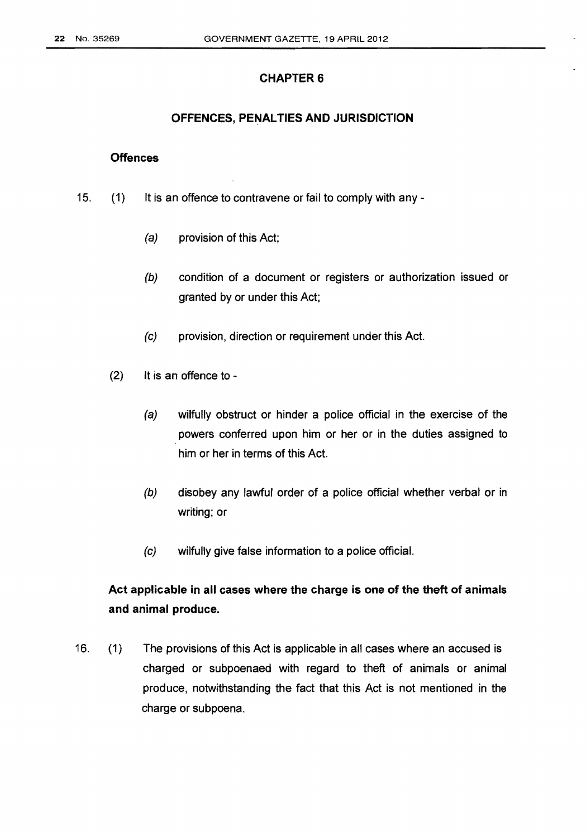### OFFENCES, PENALTIES AND JURISDICTION

### **Offences**

- 15. {1) It is an offence to contravene or fail to comply with any-
	- (a) provision of this Act;
	- (b) condition of a document or registers or authorization issued or granted by or under this Act;
	- (c) provision, direction or requirement under this Act.
	- $(2)$  It is an offence to -
		- (a) wilfully obstruct or hinder a police official in the exercise of the powers conferred upon him or her or in the duties assigned to him or her in terms of this Act.
		- (b) disobey any lawful order of a police official whether verbal or in writing; or
		- (c) wilfully give false information to a police official.

# Act applicable in all cases where the charge is one of the theft of animals and animal produce.

16. (1) The provisions of this Act is applicable in all cases where an accused is charged or subpoenaed with regard to theft of animals or animal produce, notwithstanding the fact that this Act is not mentioned in the charge or subpoena.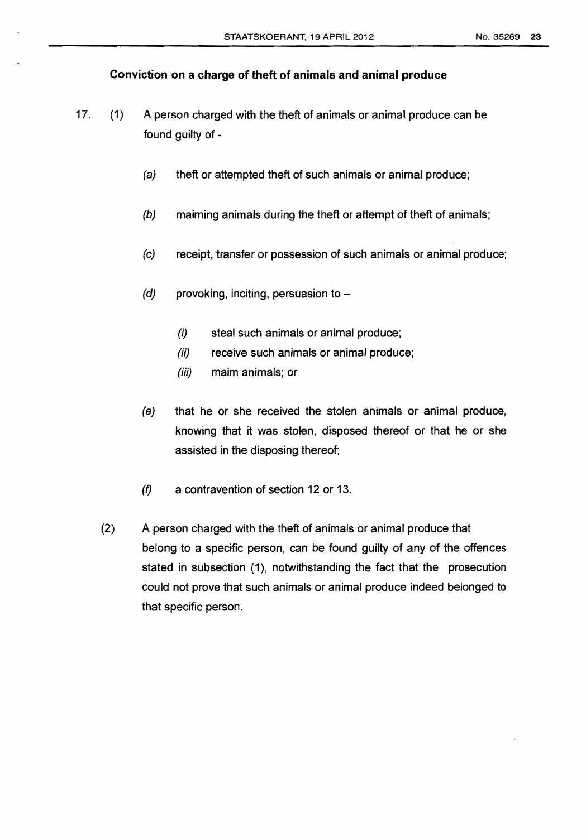### **Conviction on a charge of theft of animals and animal produce**

- 17. (1) A person charged with the theft of animals or animal produce can be found guilty of -
	- (a) theft or attempted theft of such animals or animal produce;
	- (b) maiming animals during the theft or attempt of theft of animals;
	- (c) receipt, transfer or possession of such animals or animal produce;
	- $(d)$  provoking, inciting, persuasion to -
		- (i) steal such animals or animal produce;
		- (ii) receive such animals or animal produce;
		- *(iii)* maim animals; or
	- (e) that he or she received the stolen animals or animal produce, knowing that it was stolen, disposed thereof or that he or she assisted in the disposing thereof;
	- (f) a contravention of section 12 or 13.
	- (2) A person charged with the theft of animals or animal produce that belong to a specific person, can be found guilty of any of the offences stated in subsection (1), notwithstanding the fact that the prosecution could not prove that such animals or animal produce indeed belonged to that specific person.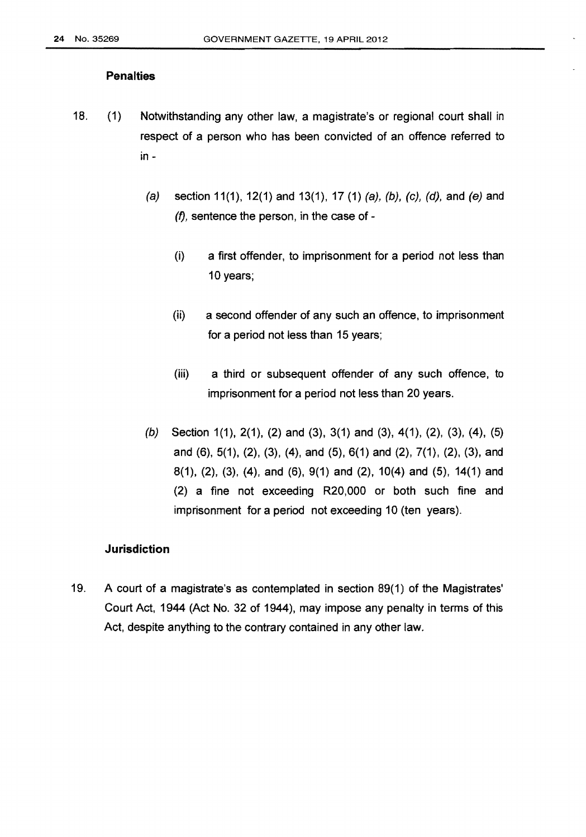### **Penalties**

- 18. (1) Notwithstanding any other law, a magistrate's or regional court shall in respect of a person who has been convicted of an offence referred to in-
	- (a) section 11(1), 12(1) and 13(1), 17 (1) (a), (b), (c), (d), and (e) and  $(1)$ , sentence the person, in the case of -
		- (i) a first offender, to imprisonment for a period not less than 10 years;
		- (ii) a second offender of any such an offence, to imprisonment for a period not less than 15 years;
		- (iii) a third or subsequent offender of any such offence, to imprisonment for a period not less than 20 years.
	- (b) Section 1(1), 2(1), (2) and (3), 3(1) and (3), 4(1), (2), (3), (4), (5) and (6), 5(1), (2), (3), (4), and (5), 6(1) and (2), 7(1), (2), (3), and 8(1), (2), (3), (4), and (6), 9(1) and (2), 10(4) and (5), 14(1) and (2) a fine not exceeding R20,000 or both such fine and imprisonment for a period not exceeding 10 (ten years).

### **Jurisdiction**

19. A court of a magistrate's as contemplated in section 89(1) of the Magistrates' Court Act, 1944 (Act No. 32 of 1944), may impose any penalty in terms of this Act, despite anything to the contrary contained in any other law.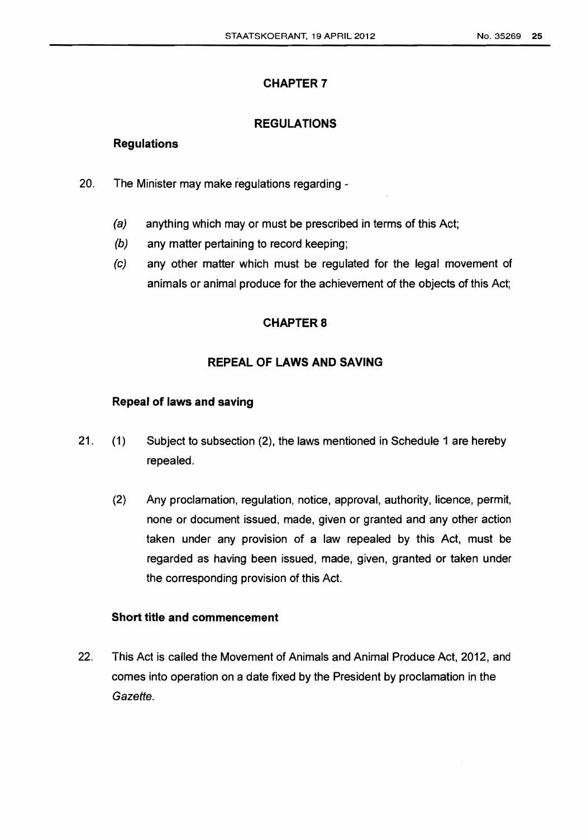### **REGULATIONS**

### **Regulations**

- 20. The Minister may make regulations regarding
	- (a) anything which may or must be prescribed in terms of this Act;
	- (b) any matter pertaining to record keeping;
	- (c) any other matter which must be regulated for the legal movement of animals or animal produce for the achievement of the objects of this Act;

## **CHAPTERS**

# **REPEAL OF LAWS AND SAVING**

### **Repeal of laws and saving**

- 21. (1) Subject to subsection (2), the laws mentioned in Schedule 1 are hereby repealed.
	- (2) Any proclamation, regulation, notice, approval, authority, licence, permit, none or document issued, made, given or granted and any other action taken under any provision of a law repealed by this Act, must be regarded as having been issued, made, given, granted or taken under the corresponding provision of this Act.

## **Short title and commencement**

22. This Act is called the Movement of Animals and Animal Produce Act, 2012, and comes into operation on a date fixed by the President by proclamation in the Gazette.